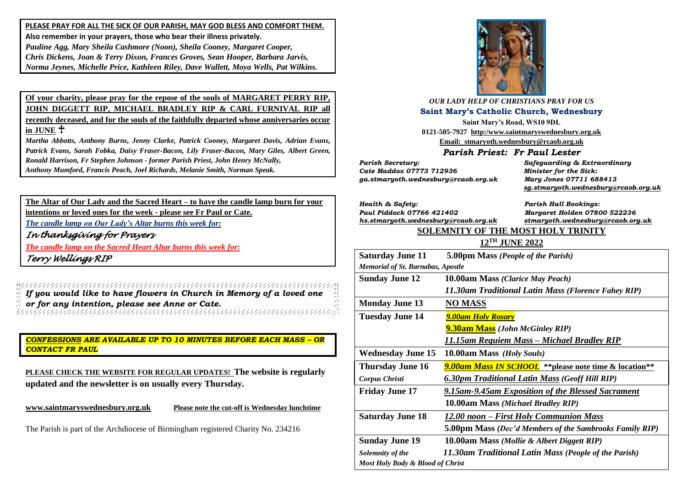**PLEASE PRAY FOR ALL THE SICK OF OUR PARISH, MAY GOD BLESS AND COMFORT THEM. Also remember in your prayers, those who bear their illness privately.** *Pauline Agg, Mary Sheila Cashmore (Noon), Sheila Cooney, Margaret Cooper, Chris Dickens, Joan & Terry Dixon, Frances Groves, Sean Hooper, Barbara Jarvis, Norma Jeynes, Michelle Price, Kathleen Riley, Dave Wallett, Moya Wells, Pat Wilkins.*

**Of your charity, please pray for the repose of the souls of MARGARET PERRY RIP, JOHN DIGGETT RIP, MICHAEL BRADLEY RIP & CARL FURNIVAL RIP all recently deceased, and for the souls of the faithfully departed whose anniversaries occur in JUNE**

*Martha Abbotts, Anthony Burns, Jenny Clarke, Patrick Cooney, Margaret Davis, Adrian Evans, Patrick Evans, Sarah Fobka, Daisy Fraser-Bacon, Lily Fraser-Bacon, Mary Giles, Albert Green, Ronald Harrison, Fr Stephen Johnson - former Parish Priest, John Henry McNally, Anthony Mumford, Francis Peach, Joel Richards, Melanie Smith, Norman Speak.* 

**The Altar of Our Lady and the Sacred Heart – to have the candle lamp burn for your intentions or loved ones for the week - please see Fr Paul or Cate.**

*The candle lamp on Our Lady's Altar burns this week for:*

*In thanksgiving for Prayers* 

*The candle lamp on the Sacred Heart Altar burns this week for:*

*Terry Wellings RIP* 

*If you would like to have flowers in Church in Memory of a loved one or for any intention, please see Anne or Cate.*

*CONFESSIONS ARE AVAILABLE UP TO 10 MINUTES BEFORE EACH MASS – OR CONTACT FR PAUL*

**PLEASE CHECK THE WEBSITE FOR REGULAR UPDATES! The website is regularly updated and the newsletter is on usually every Thursday.** 

**[www.saintmaryswednesbury.org.uk](http://www.saintmaryswednesbury.org.uk/) Please note the cut-off is Wednesday lunchtime**

The Parish is part of the Archdiocese of Birmingham registered Charity No. 234216



*OUR LADY HELP OF CHRISTIANS PRAY FOR US* **Saint Mary's Catholic Church, Wednesbury**

**Saint Mary's Road, WS10 9DL 0121-505-7927 http:/www.saintmaryswednesbury.org.uk Email: stmaryoth.wednesbury@rcaob.org.uk**

*Parish Priest: Fr Paul Lester*

*Parish Secretary: Safeguarding & Extraordinary Cate Maddox 07773 712936 Minister for the Sick: ga.stmaryoth.wednesbury@rcaob.org.uk Mary Jones 07711 688413*

 *[sg.stmaryoth.wednesbury@rcaob.org.uk](mailto:sg.stmaryoth.wednesbury@rcaob.org.uk)*

*Health & Safety: Parish Hall Bookings: Paul Piddock 07766 421402 Margaret Holden 07800 522236 [hs.stmaryoth.wednesbury@rcaob.org.uk](mailto:hs.stmaryoth.wednesbury@rcaob.org.uk) stmaryoth.wednesbury@rcaob.org.uk*

## **SOLEMNITY OF THE MOST HOLY TRINITY**

### **12TH JUNE 2022**

| <b>Saturday June 11</b>                  | 5.00pm Mass (People of the Parish)                             |
|------------------------------------------|----------------------------------------------------------------|
| <b>Memorial of St. Barnabas, Apostle</b> |                                                                |
| <b>Sunday June 12</b>                    | 10.00am Mass (Clarice May Peach)                               |
|                                          | 11.30am Traditional Latin Mass (Florence Fahey RIP)            |
| <b>Monday June 13</b>                    | <b>NO MASS</b>                                                 |
| <b>Tuesday June 14</b>                   | <b>9.00am Holy Rosary</b>                                      |
|                                          | <b>9.30am Mass</b> (John McGinley RIP)                         |
|                                          | 11.15am Requiem Mass – Michael Bradley RIP                     |
| <b>Wednesday June 15</b>                 | 10.00am Mass (Holy Souls)                                      |
| <b>Thursday June 16</b>                  | <b>9.00am Mass IN SCHOOL</b> ** please note time & location ** |
| <b>Corpus Christi</b>                    | <b>6.30pm Traditional Latin Mass (Geoff Hill RIP)</b>          |
| <b>Friday June 17</b>                    | 9.15am-9.45am Exposition of the Blessed Sacrament              |
|                                          | 10.00am Mass (Michael Bradley RIP)                             |
| <b>Saturday June 18</b>                  | 12.00 noon – First Holy Communion Mass                         |
|                                          | <b>5.00pm Mass (Dec'd Members of the Sambrooks Family RIP)</b> |
| <b>Sunday June 19</b>                    | 10.00am Mass (Mollie & Albert Diggett RIP)                     |
| Solemnity of the                         | 11.30am Traditional Latin Mass (People of the Parish)          |
| Most Holy Body & Blood of Christ         |                                                                |